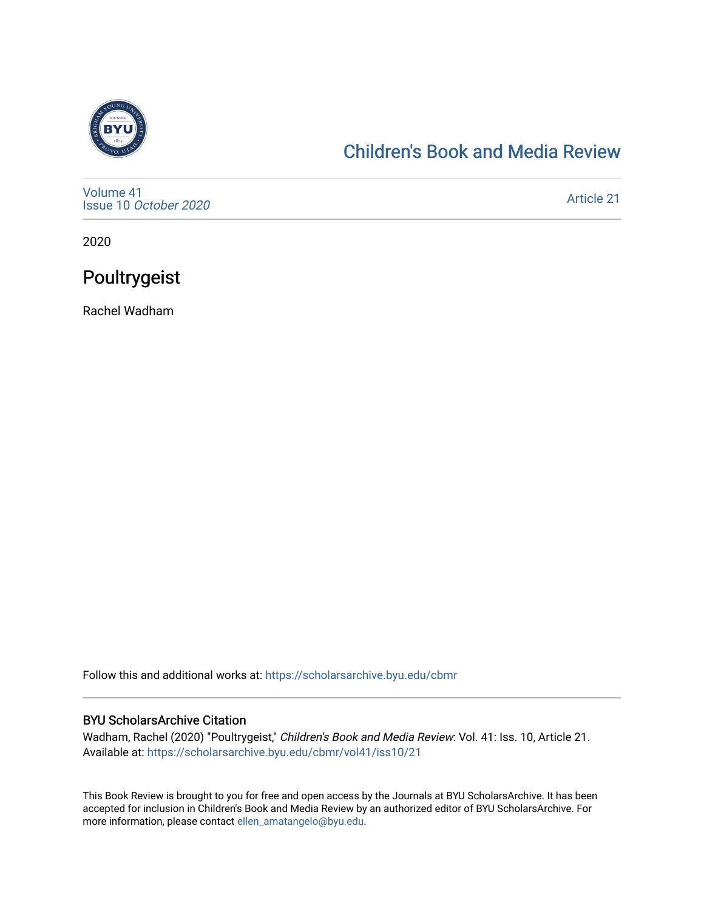

### [Children's Book and Media Review](https://scholarsarchive.byu.edu/cbmr)

[Volume 41](https://scholarsarchive.byu.edu/cbmr/vol41) Issue 10 [October 2020](https://scholarsarchive.byu.edu/cbmr/vol41/iss10)

[Article 21](https://scholarsarchive.byu.edu/cbmr/vol41/iss10/21) 

2020

## Poultrygeist

Rachel Wadham

Follow this and additional works at: [https://scholarsarchive.byu.edu/cbmr](https://scholarsarchive.byu.edu/cbmr?utm_source=scholarsarchive.byu.edu%2Fcbmr%2Fvol41%2Fiss10%2F21&utm_medium=PDF&utm_campaign=PDFCoverPages) 

#### BYU ScholarsArchive Citation

Wadham, Rachel (2020) "Poultrygeist," Children's Book and Media Review: Vol. 41: Iss. 10, Article 21. Available at: [https://scholarsarchive.byu.edu/cbmr/vol41/iss10/21](https://scholarsarchive.byu.edu/cbmr/vol41/iss10/21?utm_source=scholarsarchive.byu.edu%2Fcbmr%2Fvol41%2Fiss10%2F21&utm_medium=PDF&utm_campaign=PDFCoverPages) 

This Book Review is brought to you for free and open access by the Journals at BYU ScholarsArchive. It has been accepted for inclusion in Children's Book and Media Review by an authorized editor of BYU ScholarsArchive. For more information, please contact [ellen\\_amatangelo@byu.edu.](mailto:ellen_amatangelo@byu.edu)